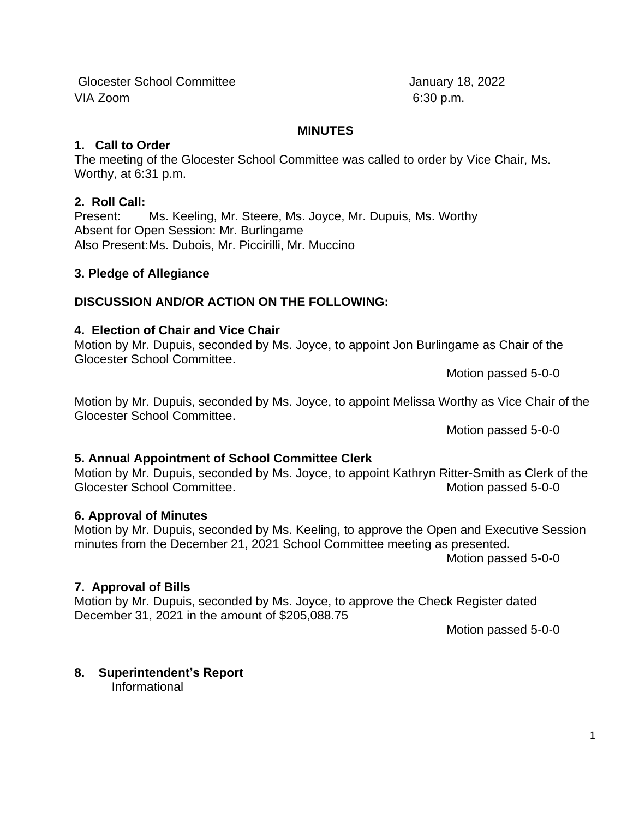1

# Glocester School Committee January 18, 2022 VIA Zoom 6:30 p.m.

### **MINUTES**

## **1. Call to Order**

The meeting of the Glocester School Committee was called to order by Vice Chair, Ms. Worthy, at 6:31 p.m.

# **2. Roll Call:**

Present: Ms. Keeling, Mr. Steere, Ms. Joyce, Mr. Dupuis, Ms. Worthy Absent for Open Session: Mr. Burlingame Also Present:Ms. Dubois, Mr. Piccirilli, Mr. Muccino

# **3. Pledge of Allegiance**

# **DISCUSSION AND/OR ACTION ON THE FOLLOWING:**

# **4. Election of Chair and Vice Chair**

Motion by Mr. Dupuis, seconded by Ms. Joyce, to appoint Jon Burlingame as Chair of the Glocester School Committee.

Motion passed 5-0-0

Motion by Mr. Dupuis, seconded by Ms. Joyce, to appoint Melissa Worthy as Vice Chair of the Glocester School Committee.

Motion passed 5-0-0

# **5. Annual Appointment of School Committee Clerk**

Motion by Mr. Dupuis, seconded by Ms. Joyce, to appoint Kathryn Ritter-Smith as Clerk of the Glocester School Committee. **Motion passed 5-0-0** Motion passed 5-0-0

# **6. Approval of Minutes**

Motion by Mr. Dupuis, seconded by Ms. Keeling, to approve the Open and Executive Session minutes from the December 21, 2021 School Committee meeting as presented. Motion passed 5-0-0

# **7. Approval of Bills**

Motion by Mr. Dupuis, seconded by Ms. Joyce, to approve the Check Register dated December 31, 2021 in the amount of \$205,088.75

Motion passed 5-0-0

**8. Superintendent's Report** Informational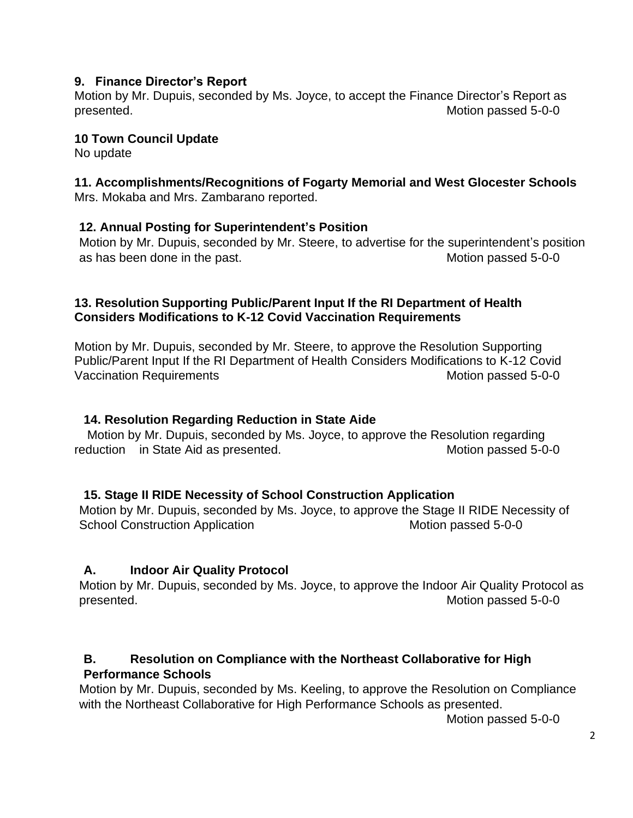### **9. Finance Director's Report**

Motion by Mr. Dupuis, seconded by Ms. Joyce, to accept the Finance Director's Report as presented. Motion passed 5-0-0

#### **10 Town Council Update**

No update

# **11. Accomplishments/Recognitions of Fogarty Memorial and West Glocester Schools**

Mrs. Mokaba and Mrs. Zambarano reported.

#### **12. Annual Posting for Superintendent's Position**

Motion by Mr. Dupuis, seconded by Mr. Steere, to advertise for the superintendent's position as has been done in the past. The state of the massed 5-0-0 motion passed 5-0-0

#### **13. Resolution Supporting Public/Parent Input If the RI Department of Health Considers Modifications to K-12 Covid Vaccination Requirements**

Motion by Mr. Dupuis, seconded by Mr. Steere, to approve the Resolution Supporting Public/Parent Input If the RI Department of Health Considers Modifications to K-12 Covid Vaccination Requirements Motion passed 5-0-0

#### **14. Resolution Regarding Reduction in State Aide**

Motion by Mr. Dupuis, seconded by Ms. Joyce, to approve the Resolution regarding reduction in State Aid as presented. The matrix of the Motion passed 5-0-0

#### **15. Stage II RIDE Necessity of School Construction Application**

Motion by Mr. Dupuis, seconded by Ms. Joyce, to approve the Stage II RIDE Necessity of School Construction Application **Motion 1996** Motion passed 5-0-0

## **A. Indoor Air Quality Protocol**

Motion by Mr. Dupuis, seconded by Ms. Joyce, to approve the Indoor Air Quality Protocol as presented. Motion passed 5-0-0

## **B. Resolution on Compliance with the Northeast Collaborative for High Performance Schools**

Motion by Mr. Dupuis, seconded by Ms. Keeling, to approve the Resolution on Compliance with the Northeast Collaborative for High Performance Schools as presented.

Motion passed 5-0-0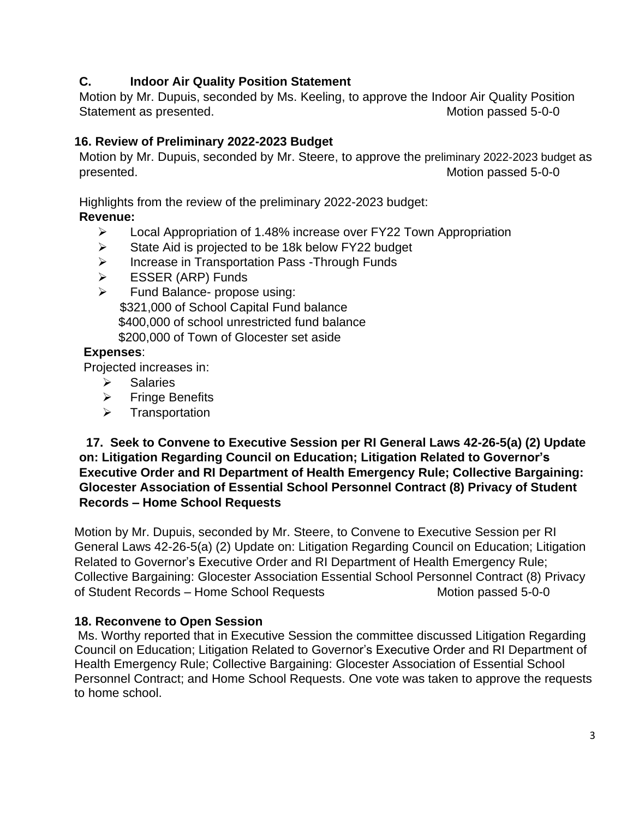## **C. Indoor Air Quality Position Statement**

Motion by Mr. Dupuis, seconded by Ms. Keeling, to approve the Indoor Air Quality Position Statement as presented. The statement as presented.

## **16. Review of Preliminary 2022-2023 Budget**

Motion by Mr. Dupuis, seconded by Mr. Steere, to approve the preliminary 2022-2023 budget as presented. The presented of the state of the matrix  $\sim$  Motion passed 5-0-0

Highlights from the review of the preliminary 2022-2023 budget:

## **Revenue:**

- ➢ Local Appropriation of 1.48% increase over FY22 Town Appropriation
- ➢ State Aid is projected to be 18k below FY22 budget
- ➢ Increase in Transportation Pass -Through Funds
- ➢ ESSER (ARP) Funds
- $\triangleright$  Fund Balance- propose using: \$321,000 of School Capital Fund balance \$400,000 of school unrestricted fund balance \$200,000 of Town of Glocester set aside

## **Expenses**:

Projected increases in:

- ➢ Salaries
- ➢ Fringe Benefits
- ➢ Transportation

### **17. Seek to Convene to Executive Session per RI General Laws 42-26-5(a) (2) Update on: Litigation Regarding Council on Education; Litigation Related to Governor's Executive Order and RI Department of Health Emergency Rule; Collective Bargaining: Glocester Association of Essential School Personnel Contract (8) Privacy of Student Records – Home School Requests**

Motion by Mr. Dupuis, seconded by Mr. Steere, to Convene to Executive Session per RI General Laws 42-26-5(a) (2) Update on: Litigation Regarding Council on Education; Litigation Related to Governor's Executive Order and RI Department of Health Emergency Rule; Collective Bargaining: Glocester Association Essential School Personnel Contract (8) Privacy of Student Records – Home School Requests Motion passed 5-0-0

# **18. Reconvene to Open Session**

Ms. Worthy reported that in Executive Session the committee discussed Litigation Regarding Council on Education; Litigation Related to Governor's Executive Order and RI Department of Health Emergency Rule; Collective Bargaining: Glocester Association of Essential School Personnel Contract; and Home School Requests. One vote was taken to approve the requests to home school.